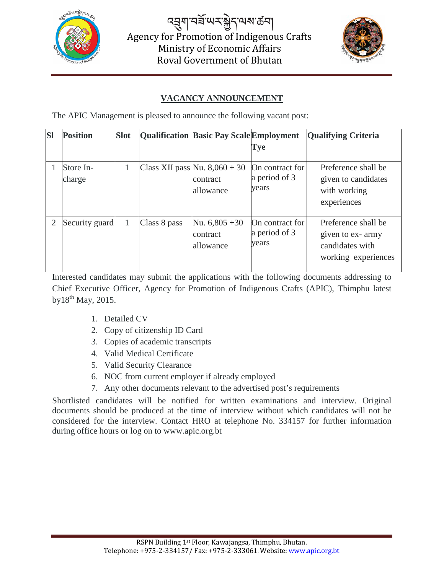

෬য়ৢয়৾৸য়ৄ<sub>৻</sub>৻৸ৼ৾য়ৢ৾৴৻<sub>৸৶য়</sub>ড় Agency for Promotion of Indigenous Crafts Ministry of Economic Affairs Royal Government of Bhutan



## **VACANCY ANNOUNCEMENT**

The APIC Management is pleased to announce the following vacant post:

| <b>SI</b> | <b>Position</b>     | <b>Slot</b> |              | <b>Qualification Basic Pay Scale Employment</b>          |                                           | <b>Qualifying Criteria</b>                                                        |
|-----------|---------------------|-------------|--------------|----------------------------------------------------------|-------------------------------------------|-----------------------------------------------------------------------------------|
|           |                     |             |              |                                                          | Tye                                       |                                                                                   |
|           | Store In-<br>charge |             |              | Class XII pass Nu. $8,060 + 30$<br>contract<br>allowance | On contract for<br>a period of 3<br>vears | Preference shall be<br>given to candidates<br>with working<br>experiences         |
|           | Security guard      |             | Class 8 pass | Nu. $6,805+30$<br>contract<br>allowance                  | On contract for<br>a period of 3<br>vears | Preference shall be<br>given to ex-army<br>candidates with<br>working experiences |

Interested candidates may submit the applications with the following documents addressing to Chief Executive Officer, Agency for Promotion of Indigenous Crafts (APIC), Thimphu latest  $b$ y $18^{th}$  May, 2015.

- 1. Detailed CV
- 2. Copy of citizenship ID Card
- 3. Copies of academic transcripts
- 4. Valid Medical Certificate
- 5. Valid Security Clearance
- 6. NOC from current employer if already employed
- 7. Any other documents relevant to the advertised post's requirements

Shortlisted candidates will be notified for written examinations and interview. Original documents should be produced at the time of interview without which candidates will not be considered for the interview. Contact HRO at telephone No. 334157 for further information during office hours or log on to www.apic.org.bt